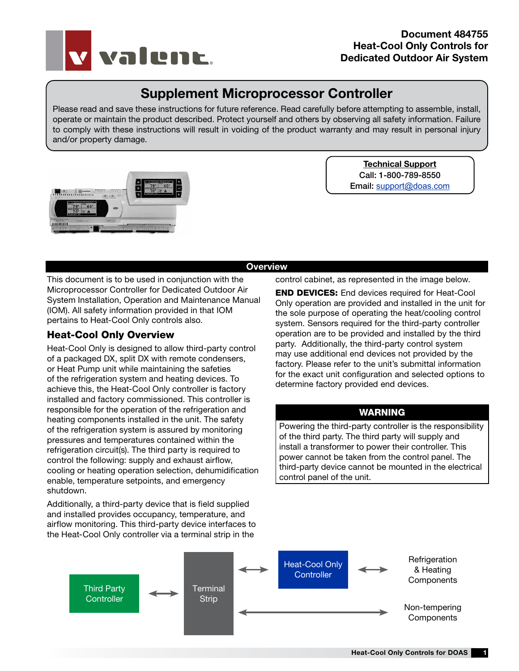

# Supplement Microprocessor Controller

Please read and save these instructions for future reference. Read carefully before attempting to assemble, install, operate or maintain the product described. Protect yourself and others by observing all safety information. Failure to comply with these instructions will result in voiding of the product warranty and may result in personal injury and/or property damage.



Technical Support Call: 1-800-789-8550 Email: support@doas.com

#### **Overview**

This document is to be used in conjunction with the Microprocessor Controller for Dedicated Outdoor Air System Installation, Operation and Maintenance Manual (IOM). All safety information provided in that IOM pertains to Heat-Cool Only controls also.

# Heat-Cool Only Overview

Heat-Cool Only is designed to allow third-party control of a packaged DX, split DX with remote condensers, or Heat Pump unit while maintaining the safeties of the refrigeration system and heating devices. To achieve this, the Heat-Cool Only controller is factory installed and factory commissioned. This controller is responsible for the operation of the refrigeration and heating components installed in the unit. The safety of the refrigeration system is assured by monitoring pressures and temperatures contained within the refrigeration circuit(s). The third party is required to control the following: supply and exhaust airflow, cooling or heating operation selection, dehumidification enable, temperature setpoints, and emergency shutdown.

Additionally, a third-party device that is field supplied and installed provides occupancy, temperature, and airflow monitoring. This third-party device interfaces to the Heat-Cool Only controller via a terminal strip in the

control cabinet, as represented in the image below.

END DEVICES: End devices required for Heat-Cool Only operation are provided and installed in the unit for the sole purpose of operating the heat/cooling control system. Sensors required for the third-party controller operation are to be provided and installed by the third party. Additionally, the third-party control system may use additional end devices not provided by the factory. Please refer to the unit's submittal information for the exact unit configuration and selected options to determine factory provided end devices.

### WARNING

Powering the third-party controller is the responsibility of the third party. The third party will supply and install a transformer to power their controller. This power cannot be taken from the control panel. The third-party device cannot be mounted in the electrical control panel of the unit.

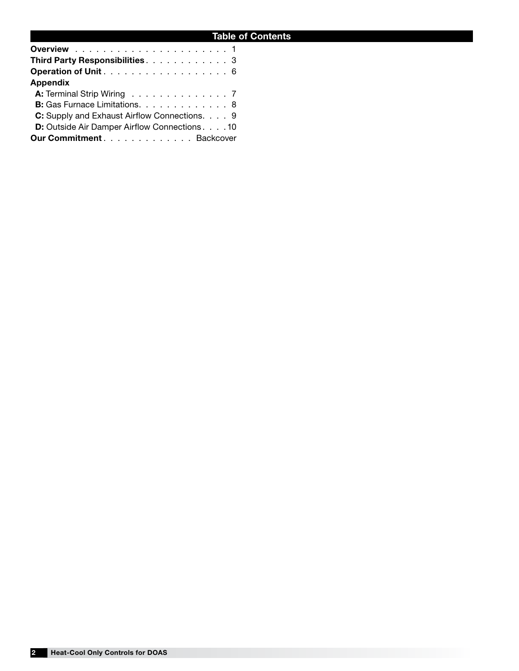| Third Party Responsibilities. 3                      |  |
|------------------------------------------------------|--|
| Operation of Unit 6                                  |  |
| <b>Appendix</b>                                      |  |
| A: Terminal Strip Wiring 7                           |  |
| B: Gas Furnace Limitations. 8                        |  |
| C: Supply and Exhaust Airflow Connections. 9         |  |
| <b>D:</b> Outside Air Damper Airflow Connections. 10 |  |
| Our CommitmentBackcover                              |  |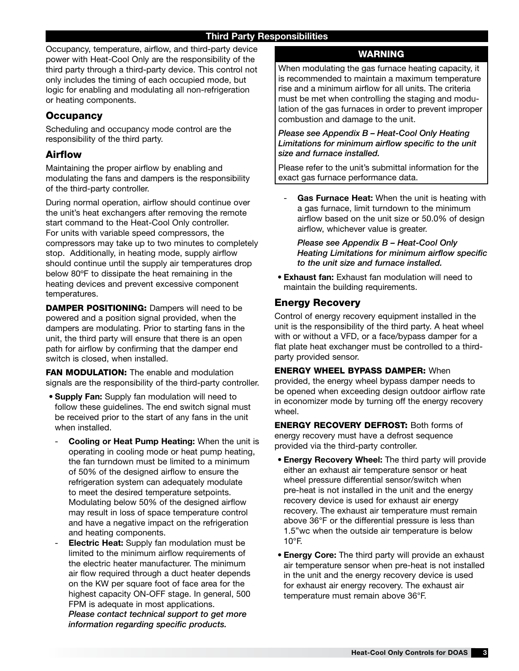Occupancy, temperature, airflow, and third-party device power with Heat-Cool Only are the responsibility of the third party through a third-party device. This control not only includes the timing of each occupied mode, but logic for enabling and modulating all non-refrigeration or heating components.

# **Occupancy**

Scheduling and occupancy mode control are the responsibility of the third party.

# Airflow

Maintaining the proper airflow by enabling and modulating the fans and dampers is the responsibility of the third-party controller.

During normal operation, airflow should continue over the unit's heat exchangers after removing the remote start command to the Heat-Cool Only controller. For units with variable speed compressors, the compressors may take up to two minutes to completely stop. Additionally, in heating mode, supply airflow should continue until the supply air temperatures drop below 80ºF to dissipate the heat remaining in the heating devices and prevent excessive component temperatures.

DAMPER POSITIONING: Dampers will need to be powered and a position signal provided, when the dampers are modulating. Prior to starting fans in the unit, the third party will ensure that there is an open path for airflow by confirming that the damper end switch is closed, when installed.

FAN MODULATION: The enable and modulation signals are the responsibility of the third-party controller.

- Supply Fan: Supply fan modulation will need to follow these guidelines. The end switch signal must be received prior to the start of any fans in the unit when installed.
	- Cooling or Heat Pump Heating: When the unit is operating in cooling mode or heat pump heating, the fan turndown must be limited to a minimum of 50% of the designed airflow to ensure the refrigeration system can adequately modulate to meet the desired temperature setpoints. Modulating below 50% of the designed airflow may result in loss of space temperature control and have a negative impact on the refrigeration and heating components.
	- **Electric Heat:** Supply fan modulation must be limited to the minimum airflow requirements of the electric heater manufacturer. The minimum air flow required through a duct heater depends on the KW per square foot of face area for the highest capacity ON-OFF stage. In general, 500 FPM is adequate in most applications. *Please contact technical support to get more information regarding specific products.*

# WARNING

When modulating the gas furnace heating capacity, it is recommended to maintain a maximum temperature rise and a minimum airflow for all units. The criteria must be met when controlling the staging and modulation of the gas furnaces in order to prevent improper combustion and damage to the unit.

#### *Please see Appendix B – Heat-Cool Only Heating Limitations for minimum airflow specific to the unit size and furnace installed.*

Please refer to the unit's submittal information for the exact gas furnace performance data.

Gas Furnace Heat: When the unit is heating with a gas furnace, limit turndown to the minimum airflow based on the unit size or 50.0% of design airflow, whichever value is greater.

 *Please see Appendix B – Heat-Cool Only Heating Limitations for minimum airflow specific to the unit size and furnace installed.*

• Exhaust fan: Exhaust fan modulation will need to maintain the building requirements.

# Energy Recovery

Control of energy recovery equipment installed in the unit is the responsibility of the third party. A heat wheel with or without a VFD, or a face/bypass damper for a flat plate heat exchanger must be controlled to a thirdparty provided sensor.

ENERGY WHEEL BYPASS DAMPER: When provided, the energy wheel bypass damper needs to be opened when exceeding design outdoor airflow rate in economizer mode by turning off the energy recovery wheel.

ENERGY RECOVERY DEFROST: Both forms of energy recovery must have a defrost sequence provided via the third-party controller.

- Energy Recovery Wheel: The third party will provide either an exhaust air temperature sensor or heat wheel pressure differential sensor/switch when pre-heat is not installed in the unit and the energy recovery device is used for exhaust air energy recovery. The exhaust air temperature must remain above 36°F or the differential pressure is less than 1.5"wc when the outside air temperature is below 10°F.
- **Energy Core:** The third party will provide an exhaust air temperature sensor when pre-heat is not installed in the unit and the energy recovery device is used for exhaust air energy recovery. The exhaust air temperature must remain above 36°F.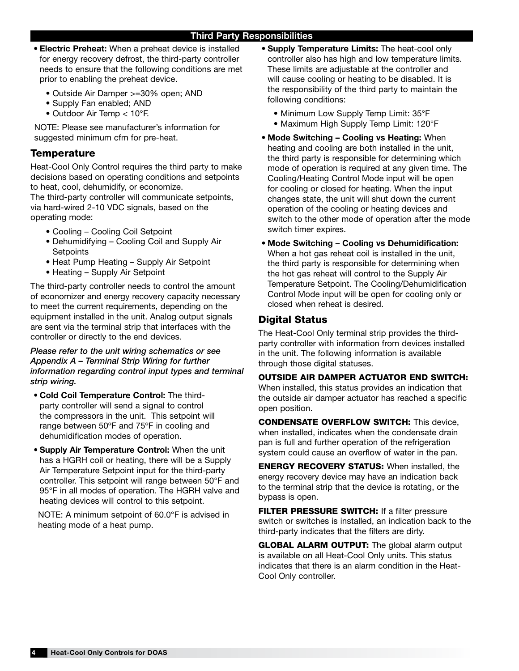#### Third Party Responsibilities

- Electric Preheat: When a preheat device is installed for energy recovery defrost, the third-party controller needs to ensure that the following conditions are met prior to enabling the preheat device.
	- Outside Air Damper >=30% open; AND
	- Supply Fan enabled; AND
	- Outdoor Air Temp < 10°F.

NOTE: Please see manufacturer's information for suggested minimum cfm for pre-heat.

### **Temperature**

Heat-Cool Only Control requires the third party to make decisions based on operating conditions and setpoints to heat, cool, dehumidify, or economize.

The third-party controller will communicate setpoints, via hard-wired 2-10 VDC signals, based on the operating mode:

- Cooling Cooling Coil Setpoint
- Dehumidifying Cooling Coil and Supply Air **Setpoints**
- Heat Pump Heating Supply Air Setpoint
- Heating Supply Air Setpoint

The third-party controller needs to control the amount of economizer and energy recovery capacity necessary to meet the current requirements, depending on the equipment installed in the unit. Analog output signals are sent via the terminal strip that interfaces with the controller or directly to the end devices.

#### *Please refer to the unit wiring schematics or see Appendix A – Terminal Strip Wiring for further information regarding control input types and terminal strip wiring.*

- Cold Coil Temperature Control: The thirdparty controller will send a signal to control the compressors in the unit. This setpoint will range between 50ºF and 75ºF in cooling and dehumidification modes of operation.
- Supply Air Temperature Control: When the unit has a HGRH coil or heating, there will be a Supply Air Temperature Setpoint input for the third-party controller. This setpoint will range between 50°F and 95°F in all modes of operation. The HGRH valve and heating devices will control to this setpoint.

NOTE: A minimum setpoint of 60.0°F is advised in heating mode of a heat pump.

- Supply Temperature Limits: The heat-cool only controller also has high and low temperature limits. These limits are adjustable at the controller and will cause cooling or heating to be disabled. It is the responsibility of the third party to maintain the following conditions:
	- Minimum Low Supply Temp Limit: 35°F
	- Maximum High Supply Temp Limit: 120°F
- Mode Switching Cooling vs Heating: When heating and cooling are both installed in the unit, the third party is responsible for determining which mode of operation is required at any given time. The Cooling/Heating Control Mode input will be open for cooling or closed for heating. When the input changes state, the unit will shut down the current operation of the cooling or heating devices and switch to the other mode of operation after the mode switch timer expires.
- Mode Switching Cooling vs Dehumidification: When a hot gas reheat coil is installed in the unit, the third party is responsible for determining when the hot gas reheat will control to the Supply Air Temperature Setpoint. The Cooling/Dehumidification Control Mode input will be open for cooling only or closed when reheat is desired.

### Digital Status

The Heat-Cool Only terminal strip provides the thirdparty controller with information from devices installed in the unit. The following information is available through those digital statuses.

OUTSIDE AIR DAMPER ACTUATOR END SWITCH: When installed, this status provides an indication that the outside air damper actuator has reached a specific open position.

CONDENSATE OVERFLOW SWITCH: This device, when installed, indicates when the condensate drain pan is full and further operation of the refrigeration system could cause an overflow of water in the pan.

ENERGY RECOVERY STATUS: When installed, the energy recovery device may have an indication back to the terminal strip that the device is rotating, or the bypass is open.

FILTER PRESSURE SWITCH: If a filter pressure switch or switches is installed, an indication back to the third-party indicates that the filters are dirty.

**GLOBAL ALARM OUTPUT:** The global alarm output is available on all Heat-Cool Only units. This status indicates that there is an alarm condition in the Heat-Cool Only controller.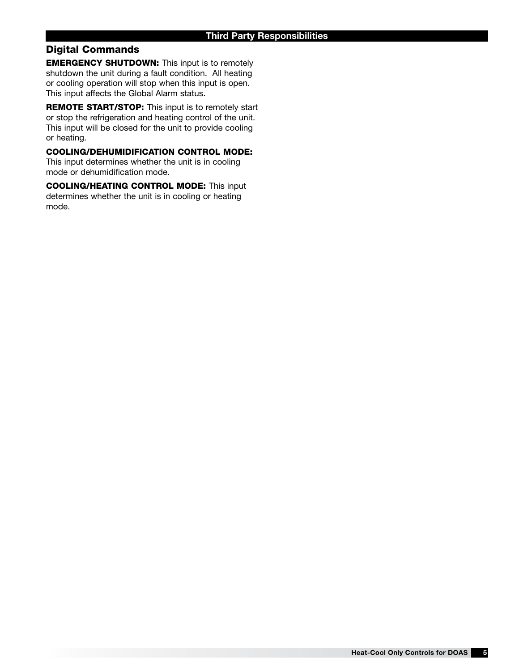# Digital Commands

EMERGENCY SHUTDOWN: This input is to remotely shutdown the unit during a fault condition. All heating or cooling operation will stop when this input is open. This input affects the Global Alarm status.

REMOTE START/STOP: This input is to remotely start or stop the refrigeration and heating control of the unit. This input will be closed for the unit to provide cooling or heating.

COOLING/DEHUMIDIFICATION CONTROL MODE: This input determines whether the unit is in cooling mode or dehumidification mode.

COOLING/HEATING CONTROL MODE: This input determines whether the unit is in cooling or heating mode.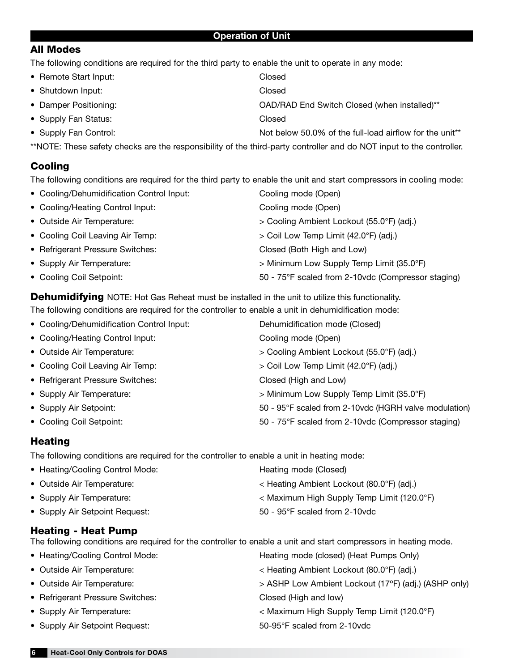#### Operation of Unit

### All Modes

The following conditions are required for the third party to enable the unit to operate in any mode:

- Remote Start Input: Closed
- Shutdown Input: Closed
- 
- Supply Fan Status: Closed
- 
- 
- Damper Positioning: OAD/RAD End Switch Closed (when installed)\*\*
	-
- Supply Fan Control:  $\blacksquare$  Not below 50.0% of the full-load airflow for the unit\*\*

\*\*NOTE: These safety checks are the responsibility of the third-party controller and do NOT input to the controller.

# **Cooling**

The following conditions are required for the third party to enable the unit and start compressors in cooling mode:

• Cooling/Dehumidification Control Input: Cooling mode (Open) • Cooling/Heating Control Input: Cooling mode (Open) • Outside Air Temperature: > Cooling Ambient Lockout (55.0°F) (adj.) • Cooling Coil Leaving Air Temp: > Coil Low Temp Limit (42.0°F) (adj.) • Refrigerant Pressure Switches: Closed (Both High and Low) • Supply Air Temperature:  $\rightarrow$  Minimum Low Supply Temp Limit (35.0°F) • Cooling Coil Setpoint: 50 - 75°F scaled from 2-10vdc (Compressor staging)

**Dehumidifying** NOTE: Hot Gas Reheat must be installed in the unit to utilize this functionality. The following conditions are required for the controller to enable a unit in dehumidification mode:

| • Cooling/Dehumidification Control Input: | Dehumidification mode (Closed)                        |
|-------------------------------------------|-------------------------------------------------------|
| • Cooling/Heating Control Input:          | Cooling mode (Open)                                   |
| • Outside Air Temperature:                | > Cooling Ambient Lockout (55.0°F) (adj.)             |
| • Cooling Coil Leaving Air Temp:          | > Coil Low Temp Limit (42.0°F) (adj.)                 |
| • Refrigerant Pressure Switches:          | Closed (High and Low)                                 |
| • Supply Air Temperature:                 | > Minimum Low Supply Temp Limit (35.0°F)              |
| • Supply Air Setpoint:                    | 50 - 95°F scaled from 2-10vdc (HGRH valve modulation) |
| • Cooling Coil Setpoint:                  | 50 - 75°F scaled from 2-10vdc (Compressor staging)    |

# **Heating**

The following conditions are required for the controller to enable a unit in heating mode:

| • Heating/Cooling Control Mode: | Heating mode (Closed)                                  |
|---------------------------------|--------------------------------------------------------|
| • Outside Air Temperature:      | < Heating Ambient Lockout (80.0°F) (adj.)              |
| • Supply Air Temperature:       | $<$ Maximum High Supply Temp Limit (120.0 $\degree$ F) |
| • Supply Air Setpoint Request:  | 50 - 95°F scaled from 2-10vdc                          |

# Heating - Heat Pump

The following conditions are required for the controller to enable a unit and start compressors in heating mode.

| • Heating/Cooling Control Mode:  | Heating mode (closed) (Heat Pumps Only)              |
|----------------------------------|------------------------------------------------------|
| • Outside Air Temperature:       | < Heating Ambient Lockout (80.0°F) (adj.)            |
| • Outside Air Temperature:       | > ASHP Low Ambient Lockout (17°F) (adj.) (ASHP only) |
| • Refrigerant Pressure Switches: | Closed (High and low)                                |
| • Supply Air Temperature:        | < Maximum High Supply Temp Limit (120.0°F)           |
| • Supply Air Setpoint Request:   | 50-95°F scaled from 2-10vdc                          |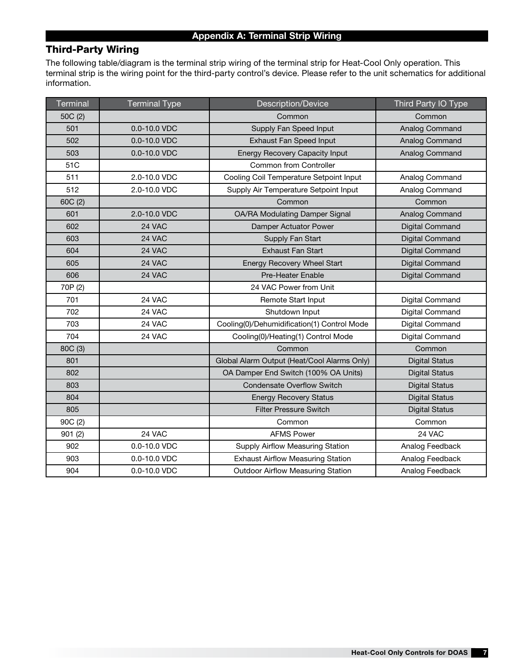# Third-Party Wiring

The following table/diagram is the terminal strip wiring of the terminal strip for Heat-Cool Only operation. This terminal strip is the wiring point for the third-party control's device. Please refer to the unit schematics for additional information.

| <b>Terminal</b> | <b>Terminal Type</b> | <b>Description/Device</b>                   | Third Party IO Type    |
|-----------------|----------------------|---------------------------------------------|------------------------|
| 50C (2)         |                      | Common                                      | Common                 |
| 501             | 0.0-10.0 VDC         | Supply Fan Speed Input                      | Analog Command         |
| 502             | 0.0-10.0 VDC         | <b>Exhaust Fan Speed Input</b>              | Analog Command         |
| 503             | 0.0-10.0 VDC         | Energy Recovery Capacity Input              | Analog Command         |
| 51C             |                      | Common from Controller                      |                        |
| 511             | 2.0-10.0 VDC         | Cooling Coil Temperature Setpoint Input     | Analog Command         |
| 512             | 2.0-10.0 VDC         | Supply Air Temperature Setpoint Input       | Analog Command         |
| 60C (2)         |                      | Common                                      | Common                 |
| 601             | 2.0-10.0 VDC         | OA/RA Modulating Damper Signal              | Analog Command         |
| 602             | 24 VAC               | Damper Actuator Power                       | Digital Command        |
| 603             | 24 VAC               | Supply Fan Start                            | <b>Digital Command</b> |
| 604             | 24 VAC               | <b>Exhaust Fan Start</b>                    | Digital Command        |
| 605             | 24 VAC               | <b>Energy Recovery Wheel Start</b>          | <b>Digital Command</b> |
| 606             | 24 VAC               | <b>Pre-Heater Enable</b>                    | <b>Digital Command</b> |
| 70P (2)         |                      | 24 VAC Power from Unit                      |                        |
| 701             | 24 VAC               | Remote Start Input                          | Digital Command        |
| 702             | 24 VAC               | Shutdown Input                              | Digital Command        |
| 703             | 24 VAC               | Cooling(0)/Dehumidification(1) Control Mode | Digital Command        |
| 704             | 24 VAC               | Cooling(0)/Heating(1) Control Mode          | Digital Command        |
| 80C (3)         |                      | Common                                      | Common                 |
| 801             |                      | Global Alarm Output (Heat/Cool Alarms Only) | <b>Digital Status</b>  |
| 802             |                      | OA Damper End Switch (100% OA Units)        | <b>Digital Status</b>  |
| 803             |                      | <b>Condensate Overflow Switch</b>           | <b>Digital Status</b>  |
| 804             |                      | <b>Energy Recovery Status</b>               | <b>Digital Status</b>  |
| 805             |                      | <b>Filter Pressure Switch</b>               | <b>Digital Status</b>  |
| 90C (2)         |                      | Common                                      | Common                 |
| 901(2)          | 24 VAC               | <b>AFMS Power</b>                           | 24 VAC                 |
| 902             | 0.0-10.0 VDC         | Supply Airflow Measuring Station            | Analog Feedback        |
| 903             | 0.0-10.0 VDC         | <b>Exhaust Airflow Measuring Station</b>    | Analog Feedback        |
| 904             | 0.0-10.0 VDC         | <b>Outdoor Airflow Measuring Station</b>    | Analog Feedback        |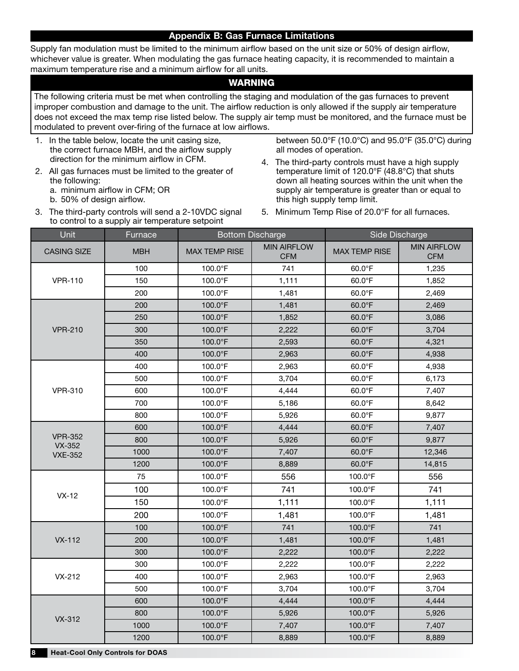#### Appendix B: Gas Furnace Limitations

Supply fan modulation must be limited to the minimum airflow based on the unit size or 50% of design airflow, whichever value is greater. When modulating the gas furnace heating capacity, it is recommended to maintain a maximum temperature rise and a minimum airflow for all units.

#### WARNING

The following criteria must be met when controlling the staging and modulation of the gas furnaces to prevent improper combustion and damage to the unit. The airflow reduction is only allowed if the supply air temperature does not exceed the max temp rise listed below. The supply air temp must be monitored, and the furnace must be modulated to prevent over-firing of the furnace at low airflows.

- 1. In the table below, locate the unit casing size, the correct furnace MBH, and the airflow supply direction for the minimum airflow in CFM.
- 2. All gas furnaces must be limited to the greater of the following:

a. minimum airflow in CFM; OR

b. 50% of design airflow.

between 50.0°F (10.0°C) and 95.0°F (35.0°C) during all modes of operation.

- 4. The third-party controls must have a high supply temperature limit of 120.0°F (48.8°C) that shuts down all heating sources within the unit when the supply air temperature is greater than or equal to this high supply temp limit.
- 3. The third-party controls will send a 2-10VDC signal to control to a supply air temperature setpoint
- 5. Minimum Temp Rise of 20.0°F for all furnaces.

| Unit                            | Furnace    | <b>Bottom Discharge</b> |                                  | Side Discharge       |                                  |  |
|---------------------------------|------------|-------------------------|----------------------------------|----------------------|----------------------------------|--|
| <b>CASING SIZE</b>              | <b>MBH</b> | <b>MAX TEMP RISE</b>    | <b>MIN AIRFLOW</b><br><b>CFM</b> | <b>MAX TEMP RISE</b> | <b>MIN AIRFLOW</b><br><b>CFM</b> |  |
|                                 | 100        | 100.0°F                 | 741                              | 60.0°F               | 1,235                            |  |
| <b>VPR-110</b>                  | 150        | 100.0°F                 | 1,111                            | 60.0°F               | 1,852                            |  |
|                                 | 200        | 100.0°F                 | 1,481                            | 60.0°F               | 2,469                            |  |
|                                 | 200        | 100.0°F                 | 1,481                            | 60.0°F               | 2,469                            |  |
|                                 | 250        | $100.0$ °F              | 1,852                            | 60.0°F               | 3,086                            |  |
| <b>VPR-210</b>                  | 300        | $100.0$ °F              | 2,222                            | 60.0°F               | 3,704                            |  |
|                                 | 350        | 100.0°F                 | 2,593                            | 60.0°F               | 4,321                            |  |
|                                 | 400        | 100.0°F                 | 2,963                            | $60.0^{\circ}$ F     | 4,938                            |  |
|                                 | 400        | 100.0°F                 | 2,963                            | 60.0°F               | 4,938                            |  |
|                                 | 500        | 100.0°F                 | 3,704                            | 60.0°F               | 6,173                            |  |
| <b>VPR-310</b>                  | 600        | 100.0°F                 | 4,444                            | 60.0°F               | 7,407                            |  |
|                                 | 700        | 100.0°F                 | 5,186                            | 60.0°F               | 8,642                            |  |
|                                 | 800        | 100.0°F                 | 5,926                            | 60.0°F               | 9,877                            |  |
|                                 | 600        | 100.0°F                 | 4,444                            | 60.0°F               | 7,407                            |  |
| <b>VPR-352</b><br><b>VX-352</b> | 800        | 100.0°F                 | 5,926                            | 60.0°F               | 9,877                            |  |
| <b>VXE-352</b>                  | 1000       | $100.0$ °F              | 7,407                            | 60.0°F               | 12,346                           |  |
|                                 | 1200       | 100.0°F                 | 8,889                            | 60.0°F               | 14,815                           |  |
|                                 | 75         | 100.0°F                 | 556                              | 100.0°F              | 556                              |  |
| $VX-12$                         | 100        | 100.0°F                 | 741                              | 100.0°F              | 741                              |  |
|                                 | 150        | 100.0°F                 | 1,111                            | $100.0$ °F           | 1,111                            |  |
|                                 | 200        | $100.0$ °F              | 1,481                            | 100.0°F              | 1,481                            |  |
|                                 | 100        | 100.0°F                 | 741                              | 100.0°F              | 741                              |  |
| $VX-112$                        | 200        | 100.0°F                 | 1,481                            | 100.0°F              | 1,481                            |  |
|                                 | 300        | 100.0°F                 | 2,222                            | 100.0°F              | 2,222                            |  |
|                                 | 300        | $100.0$ °F              | 2,222                            | 100.0°F              | 2,222                            |  |
| $VX-212$                        | 400        | 100.0°F                 | 2,963                            | 100.0°F              | 2,963                            |  |
|                                 | 500        | 100.0°F                 | 3,704                            | 100.0°F              | 3,704                            |  |
|                                 | 600        | 100.0°F                 | 4,444                            | 100.0°F              | 4,444                            |  |
| VX-312                          | 800        | 100.0°F                 | 5,926                            | 100.0°F              | 5,926                            |  |
|                                 | 1000       | 100.0°F                 | 7,407                            | 100.0°F              | 7,407                            |  |
|                                 | 1200       | 100.0°F                 | 8,889                            | 100.0°F              | 8,889                            |  |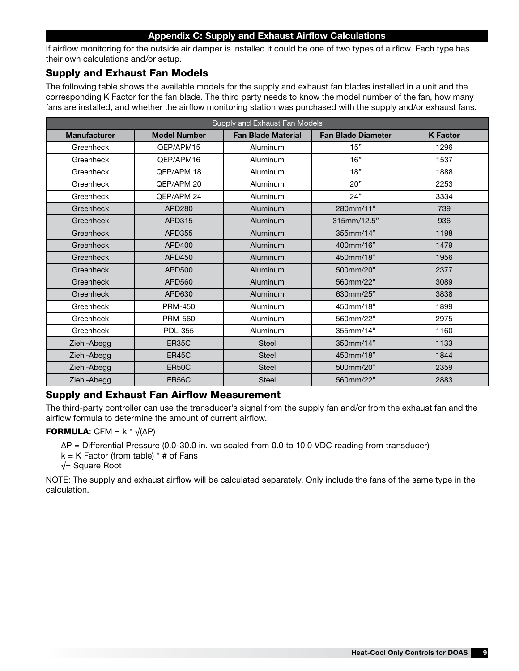#### Appendix C: Supply and Exhaust Airflow Calculations

If airflow monitoring for the outside air damper is installed it could be one of two types of airflow. Each type has their own calculations and/or setup.

### Supply and Exhaust Fan Models

The following table shows the available models for the supply and exhaust fan blades installed in a unit and the corresponding K Factor for the fan blade. The third party needs to know the model number of the fan, how many fans are installed, and whether the airflow monitoring station was purchased with the supply and/or exhaust fans.

| Supply and Exhaust Fan Models |                     |                           |                           |                 |  |  |
|-------------------------------|---------------------|---------------------------|---------------------------|-----------------|--|--|
| <b>Manufacturer</b>           | <b>Model Number</b> | <b>Fan Blade Material</b> | <b>Fan Blade Diameter</b> | <b>K</b> Factor |  |  |
| Greenheck                     | OEP/APM15           | Aluminum                  | 15"                       | 1296            |  |  |
| Greenheck                     | QEP/APM16           | Aluminum                  | 16"                       | 1537            |  |  |
| Greenheck                     | QEP/APM 18          | Aluminum                  | 18"                       | 1888            |  |  |
| Greenheck                     | OEP/APM 20          | Aluminum                  | 20"                       | 2253            |  |  |
| Greenheck                     | QEP/APM 24          | Aluminum                  | 24"                       | 3334            |  |  |
| Greenheck                     | APD280              | Aluminum                  | 280mm/11"                 | 739             |  |  |
| Greenheck                     | APD315              | Aluminum                  | 315mm/12.5"               | 936             |  |  |
| Greenheck                     | APD355              | Aluminum                  | 355mm/14"                 | 1198            |  |  |
| Greenheck                     | APD400              | Aluminum                  | 400mm/16"                 | 1479            |  |  |
| Greenheck                     | <b>APD450</b>       | Aluminum                  | 450mm/18"                 | 1956            |  |  |
| Greenheck                     | APD500              | Aluminum                  | 500mm/20"                 | 2377            |  |  |
| Greenheck                     | APD560              | Aluminum                  | 560mm/22"                 | 3089            |  |  |
| Greenheck                     | APD630              | Aluminum                  | 630mm/25"                 | 3838            |  |  |
| Greenheck                     | <b>PRM-450</b>      | Aluminum                  | 450mm/18"                 | 1899            |  |  |
| Greenheck                     | PRM-560             | Aluminum                  | 560mm/22"                 | 2975            |  |  |
| Greenheck                     | <b>PDL-355</b>      | Aluminum                  | 355mm/14"                 | 1160            |  |  |
| Ziehl-Abegg                   | <b>ER35C</b>        | <b>Steel</b>              | 350mm/14"                 | 1133            |  |  |
| Ziehl-Abegg                   | <b>ER45C</b>        | <b>Steel</b>              | 450mm/18"                 | 1844            |  |  |
| Ziehl-Abegg                   | <b>ER50C</b>        | <b>Steel</b>              | 500mm/20"                 | 2359            |  |  |
| Ziehl-Abegg                   | <b>ER56C</b>        | <b>Steel</b>              | 560mm/22"                 | 2883            |  |  |

### Supply and Exhaust Fan Airflow Measurement

The third-party controller can use the transducer's signal from the supply fan and/or from the exhaust fan and the airflow formula to determine the amount of current airflow.

#### **FORMULA:** CFM =  $k * \sqrt{(\Delta P)}$

ΔP = Differential Pressure (0.0-30.0 in. wc scaled from 0.0 to 10.0 VDC reading from transducer)

 $k = K$  Factor (from table)  $*$  # of Fans

√= Square Root

NOTE: The supply and exhaust airflow will be calculated separately. Only include the fans of the same type in the calculation.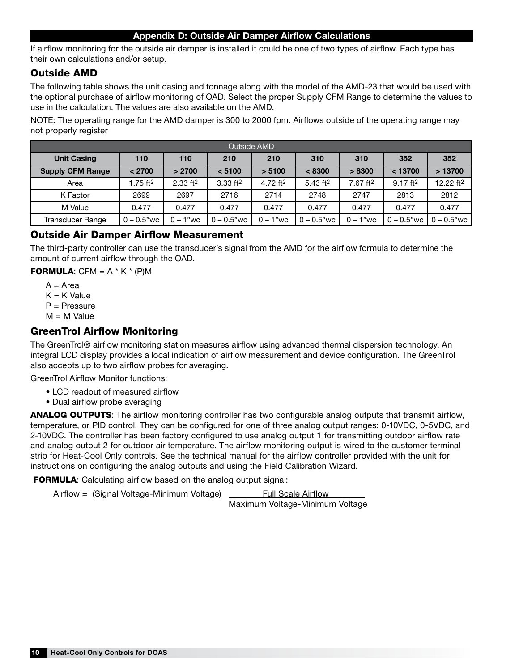### Appendix D: Outside Air Damper Airflow Calculations

If airflow monitoring for the outside air damper is installed it could be one of two types of airflow. Each type has their own calculations and/or setup.

### Outside AMD

The following table shows the unit casing and tonnage along with the model of the AMD-23 that would be used with the optional purchase of airflow monitoring of OAD. Select the proper Supply CFM Range to determine the values to use in the calculation. The values are also available on the AMD.

NOTE: The operating range for the AMD damper is 300 to 2000 fpm. Airflows outside of the operating range may not properly register

| <b>Outside AMD</b>      |                        |                        |                        |             |               |                        |                        |                               |
|-------------------------|------------------------|------------------------|------------------------|-------------|---------------|------------------------|------------------------|-------------------------------|
| <b>Unit Casing</b>      | 110                    | 110                    | 210                    | 210         | 310           | 310                    | 352                    | 352                           |
| <b>Supply CFM Range</b> | < 2700                 | > 2700                 | < 5100                 | > 5100      | < 8300        | > 8300                 | < 13700                | >13700                        |
| Area                    | $1.75$ ft <sup>2</sup> | $2.33$ ft <sup>2</sup> | $3.33$ ft <sup>2</sup> | 4.72 $ft2$  | 5.43 $ft^2$   | $7.67$ ft <sup>2</sup> | $9.17$ ft <sup>2</sup> | 12.22 ft <sup>2</sup>         |
| K Factor                | 2699                   | 2697                   | 2716                   | 2714        | 2748          | 2747                   | 2813                   | 2812                          |
| M Value                 | 0.477                  | 0.477                  | 0.477                  | 0.477       | 0.477         | 0.477                  | 0.477                  | 0.477                         |
| Transducer Range        | $0 - 0.5"$ wc          | $0 - 1"$ wc            | $0 - 0.5"$ wc          | $0 - 1"$ wc | $0 - 0.5"$ wc | $0 - 1"$ wc            |                        | $0 - 0.5$ "wc   $0 - 0.5$ "wc |

### Outside Air Damper Airflow Measurement

The third-party controller can use the transducer's signal from the AMD for the airflow formula to determine the amount of current airflow through the OAD.

#### **FORMULA:** CFM =  $A * K * (P)M$

- $A = Area$
- $K = K$  Value
- P = Pressure
- $M = M$  Value

### GreenTrol Airflow Monitoring

The GreenTrol® airflow monitoring station measures airflow using advanced thermal dispersion technology. An integral LCD display provides a local indication of airflow measurement and device configuration. The GreenTrol also accepts up to two airflow probes for averaging.

GreenTrol Airflow Monitor functions:

- LCD readout of measured airflow
- Dual airflow probe averaging

ANALOG OUTPUTS: The airflow monitoring controller has two configurable analog outputs that transmit airflow, temperature, or PID control. They can be configured for one of three analog output ranges: 0-10VDC, 0-5VDC, and 2-10VDC. The controller has been factory configured to use analog output 1 for transmitting outdoor airflow rate and analog output 2 for outdoor air temperature. The airflow monitoring output is wired to the customer terminal strip for Heat-Cool Only controls. See the technical manual for the airflow controller provided with the unit for instructions on configuring the analog outputs and using the Field Calibration Wizard.

FORMULA: Calculating airflow based on the analog output signal:

Airflow = (Signal Voltage-Minimum Voltage) Full Scale Airflow

Maximum Voltage-Minimum Voltage